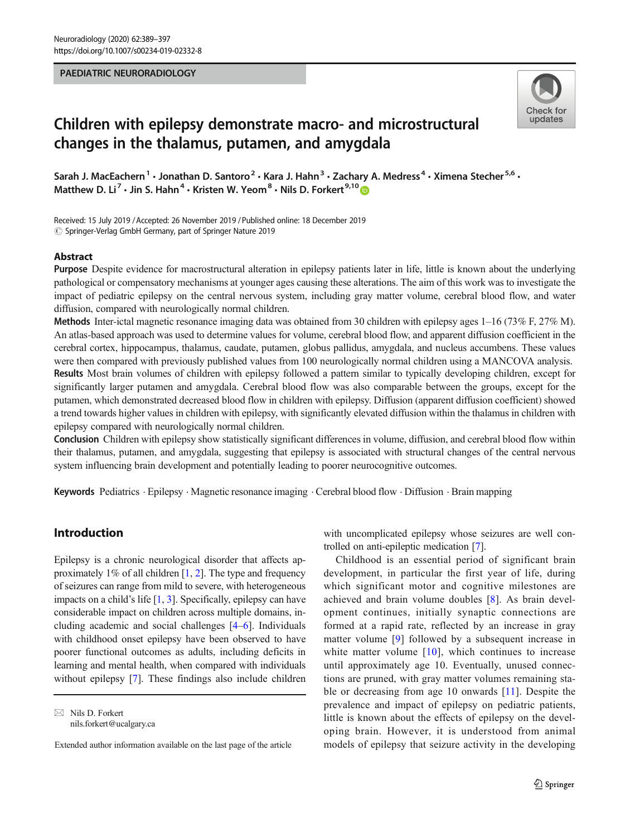#### PAEDIATRIC NEURORADIOLOGY



# Children with epilepsy demonstrate macro- and microstructural changes in the thalamus, putamen, and amygdala

Sarah J. MacEachern<sup>1</sup> • Jonathan D. Santoro<sup>2</sup> • Kara J. Hahn<sup>3</sup> • Zachary A. Medress<sup>4</sup> • Ximena Stecher<sup>5,6</sup> • Matthew D. Li<sup>7</sup>  $\cdot$  Jin S. Hahn<sup>4</sup>  $\cdot$  Kristen W. Yeom<sup>8</sup>  $\cdot$  Nils D. Forkert<sup>9,10</sup>

Received: 15 July 2019 /Accepted: 26 November 2019 /Published online: 18 December 2019  $\circled{c}$  Springer-Verlag GmbH Germany, part of Springer Nature 2019

#### Abstract

Purpose Despite evidence for macrostructural alteration in epilepsy patients later in life, little is known about the underlying pathological or compensatory mechanisms at younger ages causing these alterations. The aim of this work was to investigate the impact of pediatric epilepsy on the central nervous system, including gray matter volume, cerebral blood flow, and water diffusion, compared with neurologically normal children.

**Methods** Inter-ictal magnetic resonance imaging data was obtained from 30 children with epilepsy ages  $1-16$  (73% F, 27% M). An atlas-based approach was used to determine values for volume, cerebral blood flow, and apparent diffusion coefficient in the cerebral cortex, hippocampus, thalamus, caudate, putamen, globus pallidus, amygdala, and nucleus accumbens. These values were then compared with previously published values from 100 neurologically normal children using a MANCOVA analysis. Results Most brain volumes of children with epilepsy followed a pattern similar to typically developing children, except for significantly larger putamen and amygdala. Cerebral blood flow was also comparable between the groups, except for the putamen, which demonstrated decreased blood flow in children with epilepsy. Diffusion (apparent diffusion coefficient) showed a trend towards higher values in children with epilepsy, with significantly elevated diffusion within the thalamus in children with epilepsy compared with neurologically normal children.

Conclusion Children with epilepsy show statistically significant differences in volume, diffusion, and cerebral blood flow within their thalamus, putamen, and amygdala, suggesting that epilepsy is associated with structural changes of the central nervous system influencing brain development and potentially leading to poorer neurocognitive outcomes.

Keywords Pediatrics . Epilepsy . Magnetic resonance imaging . Cerebral blood flow . Diffusion . Brain mapping

# Introduction

Epilepsy is a chronic neurological disorder that affects approximately 1% of all children  $[1, 2]$  $[1, 2]$  $[1, 2]$  $[1, 2]$  $[1, 2]$ . The type and frequency of seizures can range from mild to severe, with heterogeneous impacts on a child's life [\[1](#page-7-0), [3\]](#page-7-0). Specifically, epilepsy can have considerable impact on children across multiple domains, including academic and social challenges [\[4](#page-7-0)–[6\]](#page-7-0). Individuals with childhood onset epilepsy have been observed to have poorer functional outcomes as adults, including deficits in learning and mental health, when compared with individuals without epilepsy [\[7](#page-7-0)]. These findings also include children

 $\boxtimes$  Nils D. Forkert [nils.forkert@ucalgary.ca](mailto:nils.forkert@ucalgary.ca) with uncomplicated epilepsy whose seizures are well controlled on anti-epileptic medication [\[7](#page-7-0)].

Childhood is an essential period of significant brain development, in particular the first year of life, during which significant motor and cognitive milestones are achieved and brain volume doubles [[8\]](#page-7-0). As brain development continues, initially synaptic connections are formed at a rapid rate, reflected by an increase in gray matter volume [[9\]](#page-7-0) followed by a subsequent increase in white matter volume  $[10]$  $[10]$ , which continues to increase until approximately age 10. Eventually, unused connections are pruned, with gray matter volumes remaining stable or decreasing from age 10 onwards [[11\]](#page-7-0). Despite the prevalence and impact of epilepsy on pediatric patients, little is known about the effects of epilepsy on the developing brain. However, it is understood from animal models of epilepsy that seizure activity in the developing

Extended author information available on the last page of the article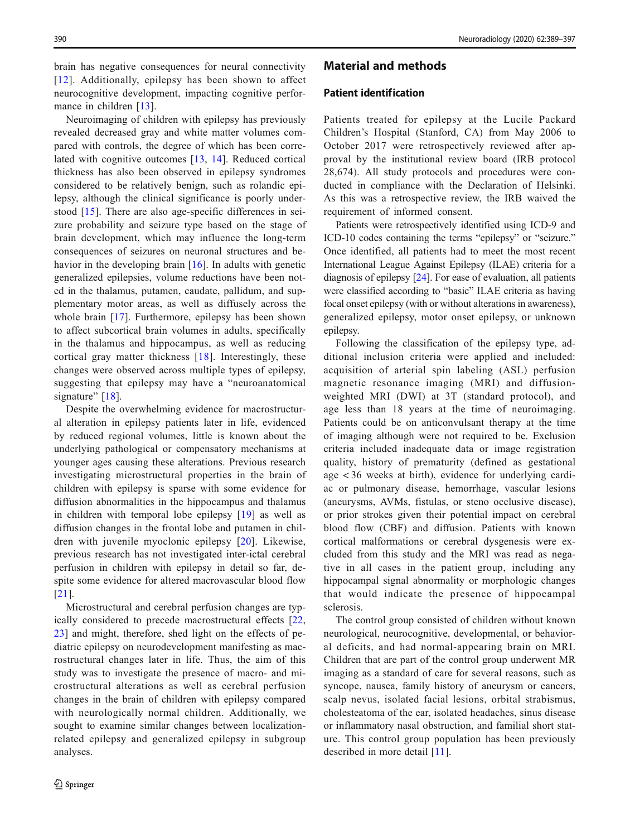brain has negative consequences for neural connectivity [[12](#page-7-0)]. Additionally, epilepsy has been shown to affect neurocognitive development, impacting cognitive perfor-mance in children [\[13](#page-7-0)].

Neuroimaging of children with epilepsy has previously revealed decreased gray and white matter volumes compared with controls, the degree of which has been correlated with cognitive outcomes [\[13,](#page-7-0) [14](#page-7-0)]. Reduced cortical thickness has also been observed in epilepsy syndromes considered to be relatively benign, such as rolandic epilepsy, although the clinical significance is poorly understood [[15](#page-7-0)]. There are also age-specific differences in seizure probability and seizure type based on the stage of brain development, which may influence the long-term consequences of seizures on neuronal structures and be-havior in the developing brain [\[16\]](#page-7-0). In adults with genetic generalized epilepsies, volume reductions have been noted in the thalamus, putamen, caudate, pallidum, and supplementary motor areas, as well as diffusely across the whole brain [[17\]](#page-7-0). Furthermore, epilepsy has been shown to affect subcortical brain volumes in adults, specifically in the thalamus and hippocampus, as well as reducing cortical gray matter thickness [[18\]](#page-7-0). Interestingly, these changes were observed across multiple types of epilepsy, suggesting that epilepsy may have a "neuroanatomical signature" [\[18\]](#page-7-0).

Despite the overwhelming evidence for macrostructural alteration in epilepsy patients later in life, evidenced by reduced regional volumes, little is known about the underlying pathological or compensatory mechanisms at younger ages causing these alterations. Previous research investigating microstructural properties in the brain of children with epilepsy is sparse with some evidence for diffusion abnormalities in the hippocampus and thalamus in children with temporal lobe epilepsy [[19\]](#page-7-0) as well as diffusion changes in the frontal lobe and putamen in children with juvenile myoclonic epilepsy [\[20\]](#page-7-0). Likewise, previous research has not investigated inter-ictal cerebral perfusion in children with epilepsy in detail so far, despite some evidence for altered macrovascular blood flow [\[21\]](#page-7-0).

Microstructural and cerebral perfusion changes are typically considered to precede macrostructural effects [\[22,](#page-7-0) [23](#page-7-0)] and might, therefore, shed light on the effects of pediatric epilepsy on neurodevelopment manifesting as macrostructural changes later in life. Thus, the aim of this study was to investigate the presence of macro- and microstructural alterations as well as cerebral perfusion changes in the brain of children with epilepsy compared with neurologically normal children. Additionally, we sought to examine similar changes between localizationrelated epilepsy and generalized epilepsy in subgroup analyses.

## Material and methods

#### Patient identification

Patients treated for epilepsy at the Lucile Packard Children's Hospital (Stanford, CA) from May 2006 to October 2017 were retrospectively reviewed after approval by the institutional review board (IRB protocol 28,674). All study protocols and procedures were conducted in compliance with the Declaration of Helsinki. As this was a retrospective review, the IRB waived the requirement of informed consent.

Patients were retrospectively identified using ICD-9 and ICD-10 codes containing the terms "epilepsy" or "seizure." Once identified, all patients had to meet the most recent International League Against Epilepsy (ILAE) criteria for a diagnosis of epilepsy [[24](#page-7-0)]. For ease of evaluation, all patients were classified according to "basic" ILAE criteria as having focal onset epilepsy (with or without alterations in awareness), generalized epilepsy, motor onset epilepsy, or unknown epilepsy.

Following the classification of the epilepsy type, additional inclusion criteria were applied and included: acquisition of arterial spin labeling (ASL) perfusion magnetic resonance imaging (MRI) and diffusionweighted MRI (DWI) at 3T (standard protocol), and age less than 18 years at the time of neuroimaging. Patients could be on anticonvulsant therapy at the time of imaging although were not required to be. Exclusion criteria included inadequate data or image registration quality, history of prematurity (defined as gestational age < 36 weeks at birth), evidence for underlying cardiac or pulmonary disease, hemorrhage, vascular lesions (aneurysms, AVMs, fistulas, or steno occlusive disease), or prior strokes given their potential impact on cerebral blood flow (CBF) and diffusion. Patients with known cortical malformations or cerebral dysgenesis were excluded from this study and the MRI was read as negative in all cases in the patient group, including any hippocampal signal abnormality or morphologic changes that would indicate the presence of hippocampal sclerosis.

The control group consisted of children without known neurological, neurocognitive, developmental, or behavioral deficits, and had normal-appearing brain on MRI. Children that are part of the control group underwent MR imaging as a standard of care for several reasons, such as syncope, nausea, family history of aneurysm or cancers, scalp nevus, isolated facial lesions, orbital strabismus, cholesteatoma of the ear, isolated headaches, sinus disease or inflammatory nasal obstruction, and familial short stature. This control group population has been previously described in more detail [\[11](#page-7-0)].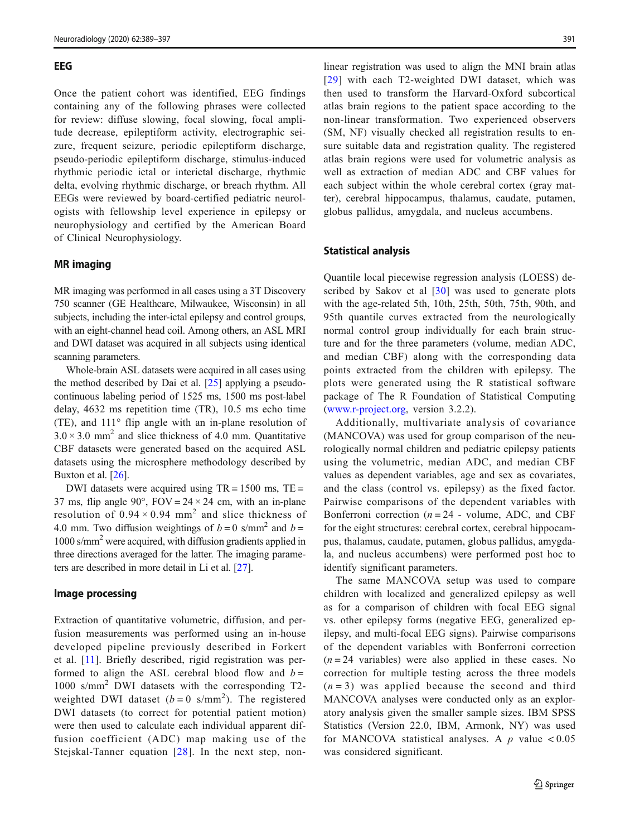#### EEG

Once the patient cohort was identified, EEG findings containing any of the following phrases were collected for review: diffuse slowing, focal slowing, focal amplitude decrease, epileptiform activity, electrographic seizure, frequent seizure, periodic epileptiform discharge, pseudo-periodic epileptiform discharge, stimulus-induced rhythmic periodic ictal or interictal discharge, rhythmic delta, evolving rhythmic discharge, or breach rhythm. All EEGs were reviewed by board-certified pediatric neurologists with fellowship level experience in epilepsy or neurophysiology and certified by the American Board of Clinical Neurophysiology.

#### MR imaging

MR imaging was performed in all cases using a 3T Discovery 750 scanner (GE Healthcare, Milwaukee, Wisconsin) in all subjects, including the inter-ictal epilepsy and control groups, with an eight-channel head coil. Among others, an ASL MRI and DWI dataset was acquired in all subjects using identical scanning parameters.

Whole-brain ASL datasets were acquired in all cases using the method described by Dai et al. [[25](#page-7-0)] applying a pseudocontinuous labeling period of 1525 ms, 1500 ms post-label delay, 4632 ms repetition time (TR), 10.5 ms echo time (TE), and 111° flip angle with an in-plane resolution of  $3.0 \times 3.0$  mm<sup>2</sup> and slice thickness of 4.0 mm. Quantitative CBF datasets were generated based on the acquired ASL datasets using the microsphere methodology described by Buxton et al. [\[26\]](#page-7-0).

DWI datasets were acquired using  $TR = 1500$  ms,  $TE =$ 37 ms, flip angle 90°,  $FOV = 24 \times 24$  cm, with an in-plane resolution of  $0.94 \times 0.94$  mm<sup>2</sup> and slice thickness of 4.0 mm. Two diffusion weightings of  $b = 0$  s/mm<sup>2</sup> and  $b =$ 1000 s/mm2 were acquired, with diffusion gradients applied in three directions averaged for the latter. The imaging parameters are described in more detail in Li et al. [\[27\]](#page-8-0).

#### Image processing

Extraction of quantitative volumetric, diffusion, and perfusion measurements was performed using an in-house developed pipeline previously described in Forkert et al. [\[11](#page-7-0)]. Briefly described, rigid registration was performed to align the ASL cerebral blood flow and  $b =$ 1000 s/mm<sup>2</sup> DWI datasets with the corresponding T2 weighted DWI dataset  $(b=0 \text{ s/mm}^2)$ . The registered DWI datasets (to correct for potential patient motion) were then used to calculate each individual apparent diffusion coefficient (ADC) map making use of the Stejskal-Tanner equation [\[28](#page-8-0)]. In the next step, non-

linear registration was used to align the MNI brain atlas [[29](#page-8-0)] with each T2-weighted DWI dataset, which was then used to transform the Harvard-Oxford subcortical atlas brain regions to the patient space according to the non-linear transformation. Two experienced observers (SM, NF) visually checked all registration results to ensure suitable data and registration quality. The registered atlas brain regions were used for volumetric analysis as well as extraction of median ADC and CBF values for each subject within the whole cerebral cortex (gray matter), cerebral hippocampus, thalamus, caudate, putamen, globus pallidus, amygdala, and nucleus accumbens.

#### Statistical analysis

Quantile local piecewise regression analysis (LOESS) de-scribed by Sakov et al [[30\]](#page-8-0) was used to generate plots with the age-related 5th, 10th, 25th, 50th, 75th, 90th, and 95th quantile curves extracted from the neurologically normal control group individually for each brain structure and for the three parameters (volume, median ADC, and median CBF) along with the corresponding data points extracted from the children with epilepsy. The plots were generated using the R statistical software package of The R Foundation of Statistical Computing [\(www.r-project.org,](http://www.r-project.org) version 3.2.2).

Additionally, multivariate analysis of covariance (MANCOVA) was used for group comparison of the neurologically normal children and pediatric epilepsy patients using the volumetric, median ADC, and median CBF values as dependent variables, age and sex as covariates, and the class (control vs. epilepsy) as the fixed factor. Pairwise comparisons of the dependent variables with Bonferroni correction ( $n = 24$  - volume, ADC, and CBF for the eight structures: cerebral cortex, cerebral hippocampus, thalamus, caudate, putamen, globus pallidus, amygdala, and nucleus accumbens) were performed post hoc to identify significant parameters.

The same MANCOVA setup was used to compare children with localized and generalized epilepsy as well as for a comparison of children with focal EEG signal vs. other epilepsy forms (negative EEG, generalized epilepsy, and multi-focal EEG signs). Pairwise comparisons of the dependent variables with Bonferroni correction  $(n = 24$  variables) were also applied in these cases. No correction for multiple testing across the three models  $(n=3)$  was applied because the second and third MANCOVA analyses were conducted only as an exploratory analysis given the smaller sample sizes. IBM SPSS Statistics (Version 22.0, IBM, Armonk, NY) was used for MANCOVA statistical analyses. A  $p$  value < 0.05 was considered significant.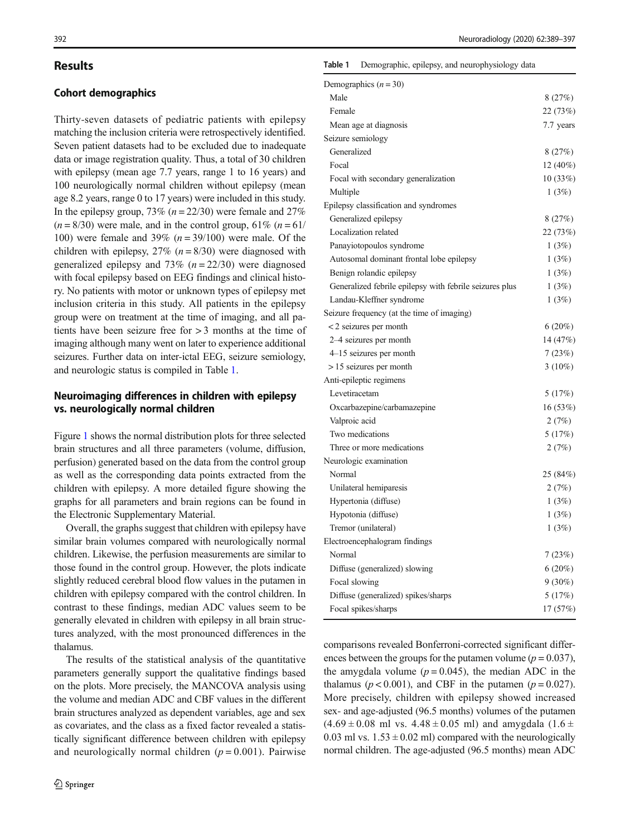# **Results**

## Cohort demographics

Thirty-seven datasets of pediatric patients with epilepsy matching the inclusion criteria were retrospectively identified. Seven patient datasets had to be excluded due to inadequate data or image registration quality. Thus, a total of 30 children with epilepsy (mean age 7.7 years, range 1 to 16 years) and 100 neurologically normal children without epilepsy (mean age 8.2 years, range 0 to 17 years) were included in this study. In the epilepsy group,  $73\%$  ( $n = 22/30$ ) were female and  $27\%$  $(n = 8/30)$  were male, and in the control group, 61%  $(n = 61/30)$ 100) were female and 39%  $(n = 39/100)$  were male. Of the children with epilepsy,  $27\%$  ( $n = 8/30$ ) were diagnosed with generalized epilepsy and 73%  $(n = 22/30)$  were diagnosed with focal epilepsy based on EEG findings and clinical history. No patients with motor or unknown types of epilepsy met inclusion criteria in this study. All patients in the epilepsy group were on treatment at the time of imaging, and all patients have been seizure free for > 3 months at the time of imaging although many went on later to experience additional seizures. Further data on inter-ictal EEG, seizure semiology, and neurologic status is compiled in Table 1.

### Neuroimaging differences in children with epilepsy vs. neurologically normal children

Figure [1](#page-4-0) shows the normal distribution plots for three selected brain structures and all three parameters (volume, diffusion, perfusion) generated based on the data from the control group as well as the corresponding data points extracted from the children with epilepsy. A more detailed figure showing the graphs for all parameters and brain regions can be found in the Electronic Supplementary Material.

Overall, the graphs suggest that children with epilepsy have similar brain volumes compared with neurologically normal children. Likewise, the perfusion measurements are similar to those found in the control group. However, the plots indicate slightly reduced cerebral blood flow values in the putamen in children with epilepsy compared with the control children. In contrast to these findings, median ADC values seem to be generally elevated in children with epilepsy in all brain structures analyzed, with the most pronounced differences in the thalamus.

The results of the statistical analysis of the quantitative parameters generally support the qualitative findings based on the plots. More precisely, the MANCOVA analysis using the volume and median ADC and CBF values in the different brain structures analyzed as dependent variables, age and sex as covariates, and the class as a fixed factor revealed a statistically significant difference between children with epilepsy and neurologically normal children  $(p = 0.001)$ . Pairwise

#### Table 1 Demographic, epilepsy, and neurophysiology data

| Demographics $(n = 30)$                                 |           |
|---------------------------------------------------------|-----------|
| Male                                                    | 8(27%)    |
| Female                                                  | 22 (73%)  |
| Mean age at diagnosis                                   | 7.7 years |
| Seizure semiology                                       |           |
| Generalized                                             | 8(27%)    |
| Focal                                                   | 12 (40%)  |
| Focal with secondary generalization                     | 10(33%)   |
| Multiple                                                | 1(3%)     |
| Epilepsy classification and syndromes                   |           |
| Generalized epilepsy                                    | 8(27%)    |
| Localization related                                    | 22 (73%)  |
| Panayiotopoulos syndrome                                | 1(3%)     |
| Autosomal dominant frontal lobe epilepsy                | 1(3%)     |
| Benign rolandic epilepsy                                | 1(3%)     |
| Generalized febrile epilepsy with febrile seizures plus | 1(3%)     |
| Landau-Kleffner syndrome                                | 1(3%)     |
| Seizure frequency (at the time of imaging)              |           |
| <2 seizures per month                                   | 6(20%)    |
| 2-4 seizures per month                                  | 14 (47%)  |
| 4–15 seizures per month                                 | 7(23%)    |
| $>15$ seizures per month                                | $3(10\%)$ |
| Anti-epileptic regimens                                 |           |
| Levetiracetam                                           | 5(17%)    |
| Oxcarbazepine/carbamazepine                             | 16 (53%)  |
| Valproic acid                                           | 2(7%)     |
| Two medications                                         | 5(17%)    |
| Three or more medications                               | 2(7%)     |
| Neurologic examination                                  |           |
| Normal                                                  | 25 (84%)  |
| Unilateral hemiparesis                                  | 2(7%)     |
| Hypertonia (diffuse)                                    | 1(3%)     |
| Hypotonia (diffuse)                                     | 1(3%)     |
| Tremor (unilateral)                                     | 1(3%)     |
| Electroencephalogram findings                           |           |
| Normal                                                  | 7(23%)    |
| Diffuse (generalized) slowing                           | 6(20%)    |
| Focal slowing                                           | $9(30\%)$ |
| Diffuse (generalized) spikes/sharps                     | 5(17%)    |
| Focal spikes/sharps                                     | 17 (57%)  |

comparisons revealed Bonferroni-corrected significant differences between the groups for the putamen volume ( $p = 0.037$ ), the amygdala volume ( $p = 0.045$ ), the median ADC in the thalamus ( $p < 0.001$ ), and CBF in the putamen ( $p = 0.027$ ). More precisely, children with epilepsy showed increased sex- and age-adjusted (96.5 months) volumes of the putamen  $(4.69 \pm 0.08 \text{ ml vs. } 4.48 \pm 0.05 \text{ ml})$  and amygdala  $(1.6 \pm 1.6 \text{ m})$ 0.03 ml vs.  $1.53 \pm 0.02$  ml) compared with the neurologically normal children. The age-adjusted (96.5 months) mean ADC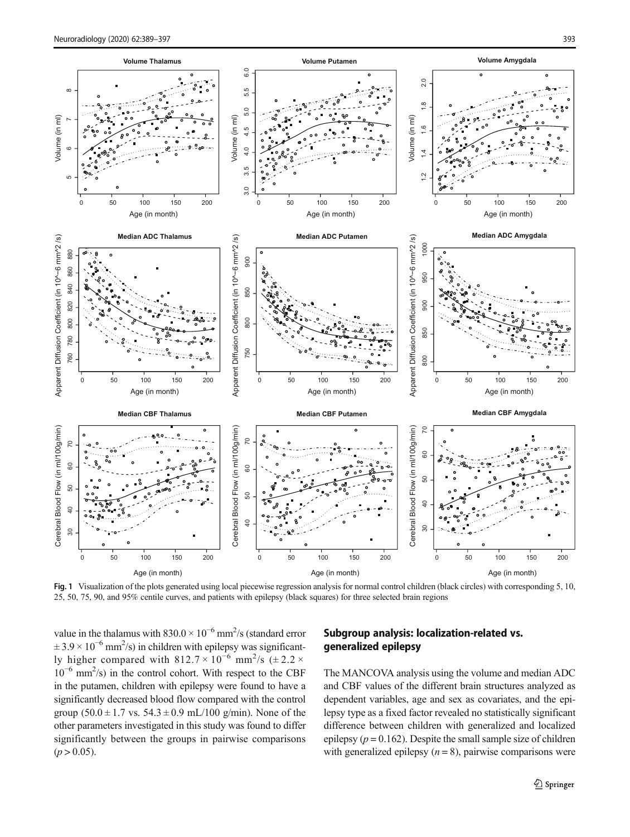<span id="page-4-0"></span>

Fig. 1 Visualization of the plots generated using local piecewise regression analysis for normal control children (black circles) with corresponding 5, 10, 25, 50, 75, 90, and 95% centile curves, and patients with epilepsy (black squares) for three selected brain regions

value in the thalamus with  $830.0 \times 10^{-6}$  mm<sup>2</sup>/s (standard error  $\pm 3.9 \times 10^{-6}$  mm<sup>2</sup>/s) in children with epilepsy was significantly higher compared with  $812.7 \times 10^{-6}$  mm<sup>2</sup>/s ( $\pm 2.2 \times$ 10−<sup>6</sup> mm2 /s) in the control cohort. With respect to the CBF in the putamen, children with epilepsy were found to have a significantly decreased blood flow compared with the control group  $(50.0 \pm 1.7 \text{ vs. } 54.3 \pm 0.9 \text{ mL}/100 \text{ g/min})$ . None of the other parameters investigated in this study was found to differ significantly between the groups in pairwise comparisons  $(p > 0.05)$ .

## Subgroup analysis: localization-related vs. generalized epilepsy

The MANCOVA analysis using the volume and median ADC and CBF values of the different brain structures analyzed as dependent variables, age and sex as covariates, and the epilepsy type as a fixed factor revealed no statistically significant difference between children with generalized and localized epilepsy ( $p = 0.162$ ). Despite the small sample size of children with generalized epilepsy  $(n = 8)$ , pairwise comparisons were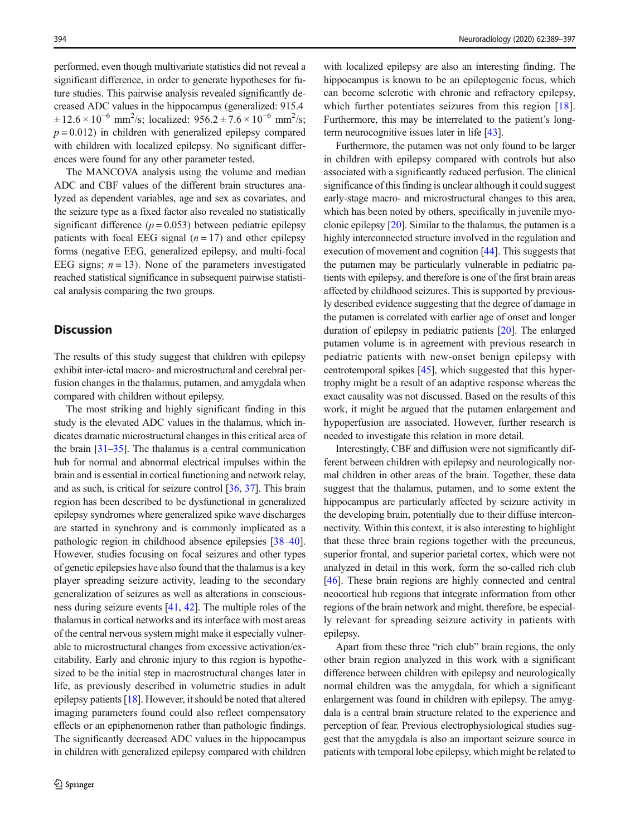performed, even though multivariate statistics did not reveal a significant difference, in order to generate hypotheses for future studies. This pairwise analysis revealed significantly decreased ADC values in the hippocampus (generalized: 915.4  $\pm 12.6 \times 10^{-6}$  mm<sup>2</sup>/s; localized: 956.2  $\pm 7.6 \times 10^{-6}$  mm<sup>2</sup>/s;  $p = 0.012$ ) in children with generalized epilepsy compared with children with localized epilepsy. No significant differences were found for any other parameter tested.

The MANCOVA analysis using the volume and median ADC and CBF values of the different brain structures analyzed as dependent variables, age and sex as covariates, and the seizure type as a fixed factor also revealed no statistically significant difference  $(p = 0.053)$  between pediatric epilepsy patients with focal EEG signal  $(n = 17)$  and other epilepsy forms (negative EEG, generalized epilepsy, and multi-focal EEG signs;  $n = 13$ ). None of the parameters investigated reached statistical significance in subsequent pairwise statistical analysis comparing the two groups.

# **Discussion**

The results of this study suggest that children with epilepsy exhibit inter-ictal macro- and microstructural and cerebral perfusion changes in the thalamus, putamen, and amygdala when compared with children without epilepsy.

The most striking and highly significant finding in this study is the elevated ADC values in the thalamus, which indicates dramatic microstructural changes in this critical area of the brain  $\left[31-35\right]$  $\left[31-35\right]$  $\left[31-35\right]$ . The thalamus is a central communication hub for normal and abnormal electrical impulses within the brain and is essential in cortical functioning and network relay, and as such, is critical for seizure control [\[36](#page-8-0), [37](#page-8-0)]. This brain region has been described to be dysfunctional in generalized epilepsy syndromes where generalized spike wave discharges are started in synchrony and is commonly implicated as a pathologic region in childhood absence epilepsies [[38](#page-8-0)–[40](#page-8-0)]. However, studies focusing on focal seizures and other types of genetic epilepsies have also found that the thalamus is a key player spreading seizure activity, leading to the secondary generalization of seizures as well as alterations in consciousness during seizure events [\[41,](#page-8-0) [42\]](#page-8-0). The multiple roles of the thalamus in cortical networks and its interface with most areas of the central nervous system might make it especially vulnerable to microstructural changes from excessive activation/excitability. Early and chronic injury to this region is hypothesized to be the initial step in macrostructural changes later in life, as previously described in volumetric studies in adult epilepsy patients [\[18\]](#page-7-0). However, it should be noted that altered imaging parameters found could also reflect compensatory effects or an epiphenomenon rather than pathologic findings. The significantly decreased ADC values in the hippocampus in children with generalized epilepsy compared with children

with localized epilepsy are also an interesting finding. The hippocampus is known to be an epileptogenic focus, which can become sclerotic with chronic and refractory epilepsy, which further potentiates seizures from this region [\[18](#page-7-0)]. Furthermore, this may be interrelated to the patient's longterm neurocognitive issues later in life [\[43\]](#page-8-0).

Furthermore, the putamen was not only found to be larger in children with epilepsy compared with controls but also associated with a significantly reduced perfusion. The clinical significance of this finding is unclear although it could suggest early-stage macro- and microstructural changes to this area, which has been noted by others, specifically in juvenile myoclonic epilepsy [[20](#page-7-0)]. Similar to the thalamus, the putamen is a highly interconnected structure involved in the regulation and execution of movement and cognition [[44\]](#page-8-0). This suggests that the putamen may be particularly vulnerable in pediatric patients with epilepsy, and therefore is one of the first brain areas affected by childhood seizures. This is supported by previously described evidence suggesting that the degree of damage in the putamen is correlated with earlier age of onset and longer duration of epilepsy in pediatric patients [[20](#page-7-0)]. The enlarged putamen volume is in agreement with previous research in pediatric patients with new-onset benign epilepsy with centrotemporal spikes [\[45\]](#page-8-0), which suggested that this hypertrophy might be a result of an adaptive response whereas the exact causality was not discussed. Based on the results of this work, it might be argued that the putamen enlargement and hypoperfusion are associated. However, further research is needed to investigate this relation in more detail.

Interestingly, CBF and diffusion were not significantly different between children with epilepsy and neurologically normal children in other areas of the brain. Together, these data suggest that the thalamus, putamen, and to some extent the hippocampus are particularly affected by seizure activity in the developing brain, potentially due to their diffuse interconnectivity. Within this context, it is also interesting to highlight that these three brain regions together with the precuneus, superior frontal, and superior parietal cortex, which were not analyzed in detail in this work, form the so-called rich club [\[46](#page-8-0)]. These brain regions are highly connected and central neocortical hub regions that integrate information from other regions of the brain network and might, therefore, be especially relevant for spreading seizure activity in patients with epilepsy.

Apart from these three "rich club" brain regions, the only other brain region analyzed in this work with a significant difference between children with epilepsy and neurologically normal children was the amygdala, for which a significant enlargement was found in children with epilepsy. The amygdala is a central brain structure related to the experience and perception of fear. Previous electrophysiological studies suggest that the amygdala is also an important seizure source in patients with temporal lobe epilepsy, which might be related to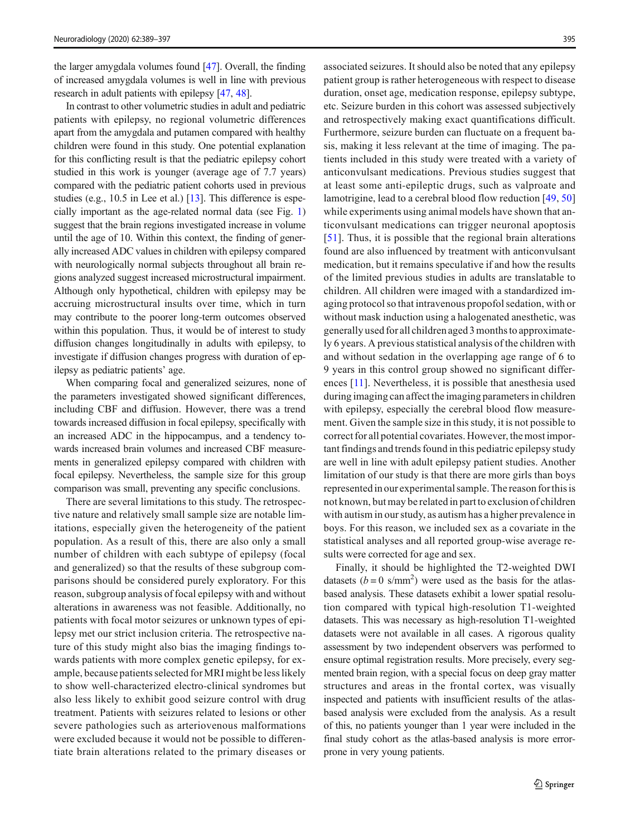the larger amygdala volumes found [[47\]](#page-8-0). Overall, the finding of increased amygdala volumes is well in line with previous research in adult patients with epilepsy [\[47,](#page-8-0) [48\]](#page-8-0).

In contrast to other volumetric studies in adult and pediatric patients with epilepsy, no regional volumetric differences apart from the amygdala and putamen compared with healthy children were found in this study. One potential explanation for this conflicting result is that the pediatric epilepsy cohort studied in this work is younger (average age of 7.7 years) compared with the pediatric patient cohorts used in previous studies (e.g., 10.5 in Lee et al.) [\[13](#page-7-0)]. This difference is especially important as the age-related normal data (see Fig. [1\)](#page-4-0) suggest that the brain regions investigated increase in volume until the age of 10. Within this context, the finding of generally increased ADC values in children with epilepsy compared with neurologically normal subjects throughout all brain regions analyzed suggest increased microstructural impairment. Although only hypothetical, children with epilepsy may be accruing microstructural insults over time, which in turn may contribute to the poorer long-term outcomes observed within this population. Thus, it would be of interest to study diffusion changes longitudinally in adults with epilepsy, to investigate if diffusion changes progress with duration of epilepsy as pediatric patients' age.

When comparing focal and generalized seizures, none of the parameters investigated showed significant differences, including CBF and diffusion. However, there was a trend towards increased diffusion in focal epilepsy, specifically with an increased ADC in the hippocampus, and a tendency towards increased brain volumes and increased CBF measurements in generalized epilepsy compared with children with focal epilepsy. Nevertheless, the sample size for this group comparison was small, preventing any specific conclusions.

There are several limitations to this study. The retrospective nature and relatively small sample size are notable limitations, especially given the heterogeneity of the patient population. As a result of this, there are also only a small number of children with each subtype of epilepsy (focal and generalized) so that the results of these subgroup comparisons should be considered purely exploratory. For this reason, subgroup analysis of focal epilepsy with and without alterations in awareness was not feasible. Additionally, no patients with focal motor seizures or unknown types of epilepsy met our strict inclusion criteria. The retrospective nature of this study might also bias the imaging findings towards patients with more complex genetic epilepsy, for example, because patients selected forMRI might be less likely to show well-characterized electro-clinical syndromes but also less likely to exhibit good seizure control with drug treatment. Patients with seizures related to lesions or other severe pathologies such as arteriovenous malformations were excluded because it would not be possible to differentiate brain alterations related to the primary diseases or

associated seizures. It should also be noted that any epilepsy patient group is rather heterogeneous with respect to disease duration, onset age, medication response, epilepsy subtype, etc. Seizure burden in this cohort was assessed subjectively and retrospectively making exact quantifications difficult. Furthermore, seizure burden can fluctuate on a frequent basis, making it less relevant at the time of imaging. The patients included in this study were treated with a variety of anticonvulsant medications. Previous studies suggest that at least some anti-epileptic drugs, such as valproate and lamotrigine, lead to a cerebral blood flow reduction [[49](#page-8-0), [50](#page-8-0)] while experiments using animal models have shown that anticonvulsant medications can trigger neuronal apoptosis [\[51\]](#page-8-0). Thus, it is possible that the regional brain alterations found are also influenced by treatment with anticonvulsant medication, but it remains speculative if and how the results of the limited previous studies in adults are translatable to children. All children were imaged with a standardized imaging protocol so that intravenous propofol sedation, with or without mask induction using a halogenated anesthetic, was generally used for all children aged 3 monthsto approximately 6 years. A previous statistical analysis of the children with and without sedation in the overlapping age range of 6 to 9 years in this control group showed no significant differences [[11](#page-7-0)]. Nevertheless, it is possible that anesthesia used during imaging can affect the imaging parameters in children with epilepsy, especially the cerebral blood flow measurement. Given the sample size in this study, it is not possible to correct for all potential covariates. However, the most important findings and trends found in this pediatric epilepsy study are well in line with adult epilepsy patient studies. Another limitation of our study is that there are more girls than boys representedin our experimental sample. The reason forthisis not known, but may be related in part to exclusion of children with autism in our study, as autism has a higher prevalence in boys. For this reason, we included sex as a covariate in the statistical analyses and all reported group-wise average results were corrected for age and sex.

Finally, it should be highlighted the T2-weighted DWI datasets  $(b=0 \text{ s/mm}^2)$  were used as the basis for the atlasbased analysis. These datasets exhibit a lower spatial resolution compared with typical high-resolution T1-weighted datasets. This was necessary as high-resolution T1-weighted datasets were not available in all cases. A rigorous quality assessment by two independent observers was performed to ensure optimal registration results. More precisely, every segmented brain region, with a special focus on deep gray matter structures and areas in the frontal cortex, was visually inspected and patients with insufficient results of the atlasbased analysis were excluded from the analysis. As a result of this, no patients younger than 1 year were included in the final study cohort as the atlas-based analysis is more errorprone in very young patients.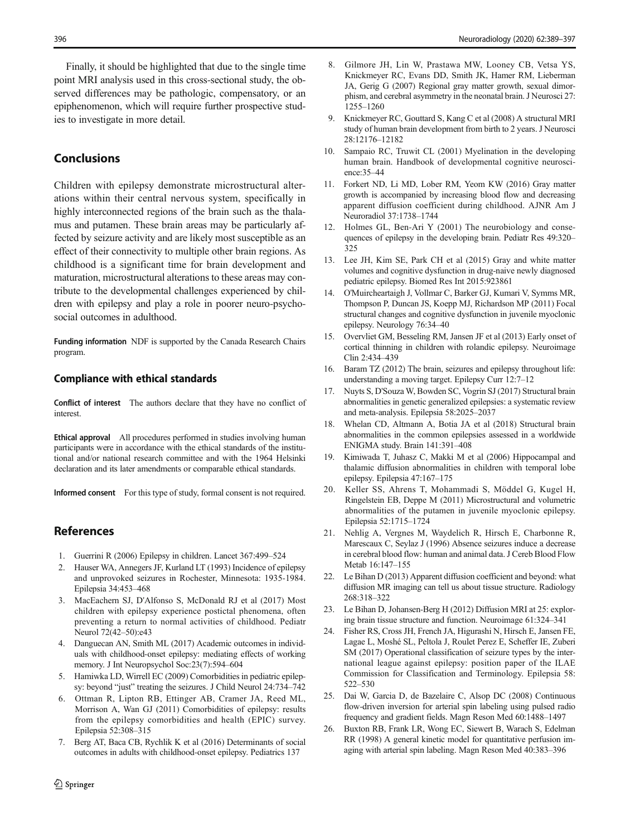<span id="page-7-0"></span>Finally, it should be highlighted that due to the single time point MRI analysis used in this cross-sectional study, the observed differences may be pathologic, compensatory, or an epiphenomenon, which will require further prospective studies to investigate in more detail.

# Conclusions

Children with epilepsy demonstrate microstructural alterations within their central nervous system, specifically in highly interconnected regions of the brain such as the thalamus and putamen. These brain areas may be particularly affected by seizure activity and are likely most susceptible as an effect of their connectivity to multiple other brain regions. As childhood is a significant time for brain development and maturation, microstructural alterations to these areas may contribute to the developmental challenges experienced by children with epilepsy and play a role in poorer neuro-psychosocial outcomes in adulthood.

Funding information NDF is supported by the Canada Research Chairs program.

#### Compliance with ethical standards

Conflict of interest The authors declare that they have no conflict of interest.

Ethical approval All procedures performed in studies involving human participants were in accordance with the ethical standards of the institutional and/or national research committee and with the 1964 Helsinki declaration and its later amendments or comparable ethical standards.

Informed consent For this type of study, formal consent is not required.

# **References**

- 1. Guerrini R (2006) Epilepsy in children. Lancet 367:499–524
- 2. Hauser WA, Annegers JF, Kurland LT (1993) Incidence of epilepsy and unprovoked seizures in Rochester, Minnesota: 1935-1984. Epilepsia 34:453–468
- 3. MacEachern SJ, D'Alfonso S, McDonald RJ et al (2017) Most children with epilepsy experience postictal phenomena, often preventing a return to normal activities of childhood. Pediatr Neurol 72(42–50):e43
- 4. Danguecan AN, Smith ML (2017) Academic outcomes in individuals with childhood-onset epilepsy: mediating effects of working memory. J Int Neuropsychol Soc:23(7):594–604
- 5. Hamiwka LD, Wirrell EC (2009) Comorbidities in pediatric epilepsy: beyond "just" treating the seizures. J Child Neurol 24:734–742
- 6. Ottman R, Lipton RB, Ettinger AB, Cramer JA, Reed ML, Morrison A, Wan GJ (2011) Comorbidities of epilepsy: results from the epilepsy comorbidities and health (EPIC) survey. Epilepsia 52:308–315
- 7. Berg AT, Baca CB, Rychlik K et al (2016) Determinants of social outcomes in adults with childhood-onset epilepsy. Pediatrics 137
- 8. Gilmore JH, Lin W, Prastawa MW, Looney CB, Vetsa YS, Knickmeyer RC, Evans DD, Smith JK, Hamer RM, Lieberman JA, Gerig G (2007) Regional gray matter growth, sexual dimorphism, and cerebral asymmetry in the neonatal brain. J Neurosci 27: 1255–1260
- 9. Knickmeyer RC, Gouttard S, Kang C et al (2008) A structural MRI study of human brain development from birth to 2 years. J Neurosci 28:12176–12182
- 10. Sampaio RC, Truwit CL (2001) Myelination in the developing human brain. Handbook of developmental cognitive neuroscience:35–44
- 11. Forkert ND, Li MD, Lober RM, Yeom KW (2016) Gray matter growth is accompanied by increasing blood flow and decreasing apparent diffusion coefficient during childhood. AJNR Am J Neuroradiol 37:1738–1744
- 12. Holmes GL, Ben-Ari Y (2001) The neurobiology and consequences of epilepsy in the developing brain. Pediatr Res 49:320– 325
- 13. Lee JH, Kim SE, Park CH et al (2015) Gray and white matter volumes and cognitive dysfunction in drug-naive newly diagnosed pediatric epilepsy. Biomed Res Int 2015:923861
- 14. O'Muircheartaigh J, Vollmar C, Barker GJ, Kumari V, Symms MR, Thompson P, Duncan JS, Koepp MJ, Richardson MP (2011) Focal structural changes and cognitive dysfunction in juvenile myoclonic epilepsy. Neurology 76:34–40
- 15. Overvliet GM, Besseling RM, Jansen JF et al (2013) Early onset of cortical thinning in children with rolandic epilepsy. Neuroimage Clin 2:434–439
- 16. Baram TZ (2012) The brain, seizures and epilepsy throughout life: understanding a moving target. Epilepsy Curr 12:7–12
- 17. Nuyts S, D'Souza W, Bowden SC, Vogrin SJ (2017) Structural brain abnormalities in genetic generalized epilepsies: a systematic review and meta-analysis. Epilepsia 58:2025–2037
- 18. Whelan CD, Altmann A, Botia JA et al (2018) Structural brain abnormalities in the common epilepsies assessed in a worldwide ENIGMA study. Brain 141:391–408
- 19. Kimiwada T, Juhasz C, Makki M et al (2006) Hippocampal and thalamic diffusion abnormalities in children with temporal lobe epilepsy. Epilepsia 47:167–175
- 20. Keller SS, Ahrens T, Mohammadi S, Möddel G, Kugel H, Ringelstein EB, Deppe M (2011) Microstructural and volumetric abnormalities of the putamen in juvenile myoclonic epilepsy. Epilepsia 52:1715–1724
- 21. Nehlig A, Vergnes M, Waydelich R, Hirsch E, Charbonne R, Marescaux C, Seylaz J (1996) Absence seizures induce a decrease in cerebral blood flow: human and animal data. J Cereb Blood Flow Metab 16:147–155
- 22. Le Bihan D (2013) Apparent diffusion coefficient and beyond: what diffusion MR imaging can tell us about tissue structure. Radiology 268:318–322
- 23. Le Bihan D, Johansen-Berg H (2012) Diffusion MRI at 25: exploring brain tissue structure and function. Neuroimage 61:324–341
- 24. Fisher RS, Cross JH, French JA, Higurashi N, Hirsch E, Jansen FE, Lagae L, Moshé SL, Peltola J, Roulet Perez E, Scheffer IE, Zuberi SM (2017) Operational classification of seizure types by the international league against epilepsy: position paper of the ILAE Commission for Classification and Terminology. Epilepsia 58: 522–530
- 25. Dai W, Garcia D, de Bazelaire C, Alsop DC (2008) Continuous flow-driven inversion for arterial spin labeling using pulsed radio frequency and gradient fields. Magn Reson Med 60:1488–1497
- 26. Buxton RB, Frank LR, Wong EC, Siewert B, Warach S, Edelman RR (1998) A general kinetic model for quantitative perfusion imaging with arterial spin labeling. Magn Reson Med 40:383–396